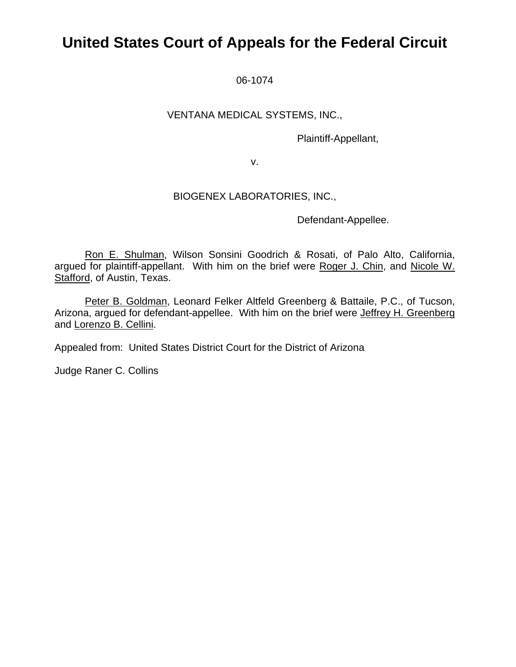# **United States Court of Appeals for the Federal Circuit**

06-1074

### VENTANA MEDICAL SYSTEMS, INC.,

Plaintiff-Appellant,

v.

### BIOGENEX LABORATORIES, INC.,

Defendant-Appellee.

Ron E. Shulman, Wilson Sonsini Goodrich & Rosati, of Palo Alto, California, argued for plaintiff-appellant. With him on the brief were Roger J. Chin, and Nicole W. Stafford, of Austin, Texas.

Peter B. Goldman, Leonard Felker Altfeld Greenberg & Battaile, P.C., of Tucson, Arizona, argued for defendant-appellee. With him on the brief were Jeffrey H. Greenberg and Lorenzo B. Cellini.

Appealed from: United States District Court for the District of Arizona

Judge Raner C. Collins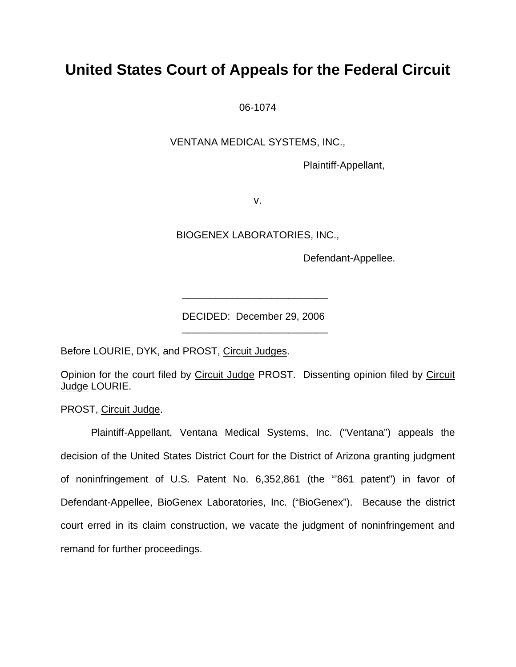# **United States Court of Appeals for the Federal Circuit**

06-1074

VENTANA MEDICAL SYSTEMS, INC.,

Plaintiff-Appellant,

v.

BIOGENEX LABORATORIES, INC.,

Defendant-Appellee.

DECIDED: December 29, 2006

Before LOURIE, DYK, and PROST, Circuit Judges.

 $\frac{1}{2}$  ,  $\frac{1}{2}$  ,  $\frac{1}{2}$  ,  $\frac{1}{2}$  ,  $\frac{1}{2}$  ,  $\frac{1}{2}$  ,  $\frac{1}{2}$  ,  $\frac{1}{2}$  ,  $\frac{1}{2}$  ,  $\frac{1}{2}$  ,  $\frac{1}{2}$  ,  $\frac{1}{2}$  ,  $\frac{1}{2}$  ,  $\frac{1}{2}$  ,  $\frac{1}{2}$  ,  $\frac{1}{2}$  ,  $\frac{1}{2}$  ,  $\frac{1}{2}$  ,  $\frac{1$ 

 $\frac{1}{2}$  , and the set of the set of the set of the set of the set of the set of the set of the set of the set of the set of the set of the set of the set of the set of the set of the set of the set of the set of the set

Opinion for the court filed by Circuit Judge PROST. Dissenting opinion filed by Circuit Judge LOURIE.

PROST, Circuit Judge.

 Plaintiff-Appellant, Ventana Medical Systems, Inc. ("Ventana") appeals the decision of the United States District Court for the District of Arizona granting judgment of noninfringement of U.S. Patent No. 6,352,861 (the "'861 patent") in favor of Defendant-Appellee, BioGenex Laboratories, Inc. ("BioGenex"). Because the district court erred in its claim construction, we vacate the judgment of noninfringement and remand for further proceedings.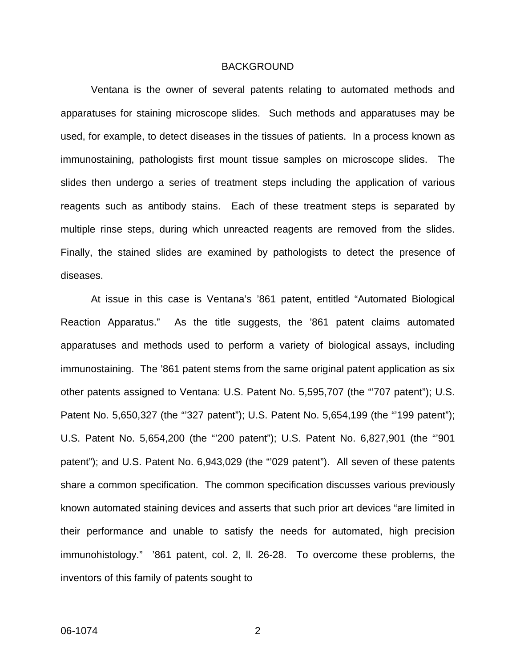#### BACKGROUND

Ventana is the owner of several patents relating to automated methods and apparatuses for staining microscope slides. Such methods and apparatuses may be used, for example, to detect diseases in the tissues of patients. In a process known as immunostaining, pathologists first mount tissue samples on microscope slides. The slides then undergo a series of treatment steps including the application of various reagents such as antibody stains. Each of these treatment steps is separated by multiple rinse steps, during which unreacted reagents are removed from the slides. Finally, the stained slides are examined by pathologists to detect the presence of diseases.

At issue in this case is Ventana's '861 patent, entitled "Automated Biological Reaction Apparatus." As the title suggests, the '861 patent claims automated apparatuses and methods used to perform a variety of biological assays, including immunostaining. The '861 patent stems from the same original patent application as six other patents assigned to Ventana: U.S. Patent No. 5,595,707 (the "'707 patent"); U.S. Patent No. 5,650,327 (the "327 patent"); U.S. Patent No. 5,654,199 (the "199 patent"); U.S. Patent No. 5,654,200 (the "'200 patent"); U.S. Patent No. 6,827,901 (the "'901 patent"); and U.S. Patent No. 6,943,029 (the "'029 patent"). All seven of these patents share a common specification. The common specification discusses various previously known automated staining devices and asserts that such prior art devices "are limited in their performance and unable to satisfy the needs for automated, high precision immunohistology." '861 patent, col. 2, ll. 26-28. To overcome these problems, the inventors of this family of patents sought to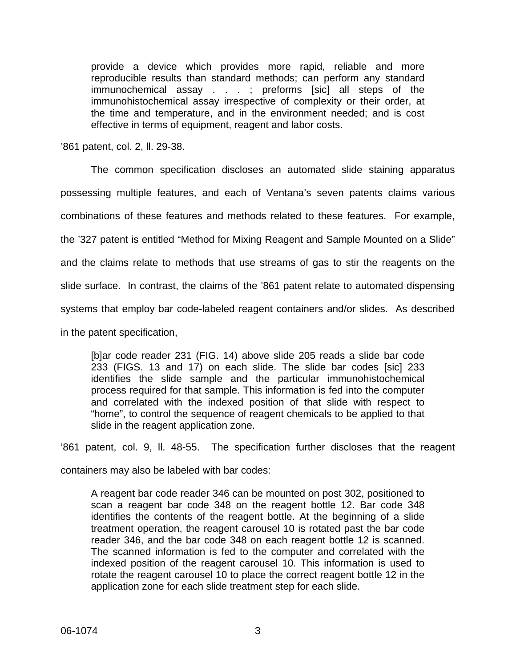provide a device which provides more rapid, reliable and more reproducible results than standard methods; can perform any standard immunochemical assay . . . ; preforms [sic] all steps of the immunohistochemical assay irrespective of complexity or their order, at the time and temperature, and in the environment needed; and is cost effective in terms of equipment, reagent and labor costs.

'861 patent, col. 2, ll. 29-38.

The common specification discloses an automated slide staining apparatus possessing multiple features, and each of Ventana's seven patents claims various combinations of these features and methods related to these features. For example, the '327 patent is entitled "Method for Mixing Reagent and Sample Mounted on a Slide" and the claims relate to methods that use streams of gas to stir the reagents on the slide surface. In contrast, the claims of the '861 patent relate to automated dispensing systems that employ bar code-labeled reagent containers and/or slides. As described in the patent specification,

[b]ar code reader 231 (FIG. 14) above slide 205 reads a slide bar code 233 (FIGS. 13 and 17) on each slide. The slide bar codes [sic] 233 identifies the slide sample and the particular immunohistochemical process required for that sample. This information is fed into the computer and correlated with the indexed position of that slide with respect to "home", to control the sequence of reagent chemicals to be applied to that slide in the reagent application zone.

'861 patent, col. 9, ll. 48-55. The specification further discloses that the reagent

containers may also be labeled with bar codes:

A reagent bar code reader 346 can be mounted on post 302, positioned to scan a reagent bar code 348 on the reagent bottle 12. Bar code 348 identifies the contents of the reagent bottle. At the beginning of a slide treatment operation, the reagent carousel 10 is rotated past the bar code reader 346, and the bar code 348 on each reagent bottle 12 is scanned. The scanned information is fed to the computer and correlated with the indexed position of the reagent carousel 10. This information is used to rotate the reagent carousel 10 to place the correct reagent bottle 12 in the application zone for each slide treatment step for each slide.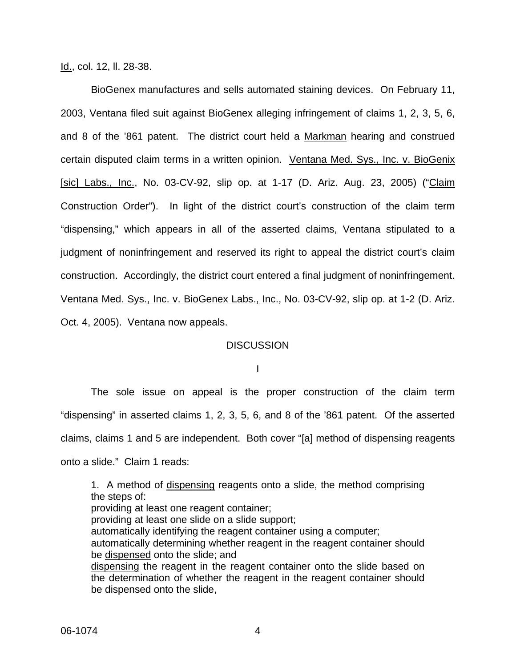Id., col. 12, ll. 28-38.

BioGenex manufactures and sells automated staining devices. On February 11, 2003, Ventana filed suit against BioGenex alleging infringement of claims 1, 2, 3, 5, 6, and 8 of the '861 patent. The district court held a Markman hearing and construed certain disputed claim terms in a written opinion. Ventana Med. Sys., Inc. v. BioGenix [sic] Labs., Inc., No. 03-CV-92, slip op. at 1-17 (D. Ariz. Aug. 23, 2005) ("Claim Construction Order"). In light of the district court's construction of the claim term "dispensing," which appears in all of the asserted claims, Ventana stipulated to a judgment of noninfringement and reserved its right to appeal the district court's claim construction. Accordingly, the district court entered a final judgment of noninfringement. Ventana Med. Sys., Inc. v. BioGenex Labs., Inc., No. 03-CV-92, slip op. at 1-2 (D. Ariz. Oct. 4, 2005). Ventana now appeals.

#### **DISCUSSION**

I

The sole issue on appeal is the proper construction of the claim term "dispensing" in asserted claims 1, 2, 3, 5, 6, and 8 of the '861 patent. Of the asserted claims, claims 1 and 5 are independent. Both cover "[a] method of dispensing reagents onto a slide." Claim 1 reads:

1. A method of dispensing reagents onto a slide, the method comprising the steps of: providing at least one reagent container; providing at least one slide on a slide support; automatically identifying the reagent container using a computer; automatically determining whether reagent in the reagent container should be dispensed onto the slide; and dispensing the reagent in the reagent container onto the slide based on the determination of whether the reagent in the reagent container should be dispensed onto the slide,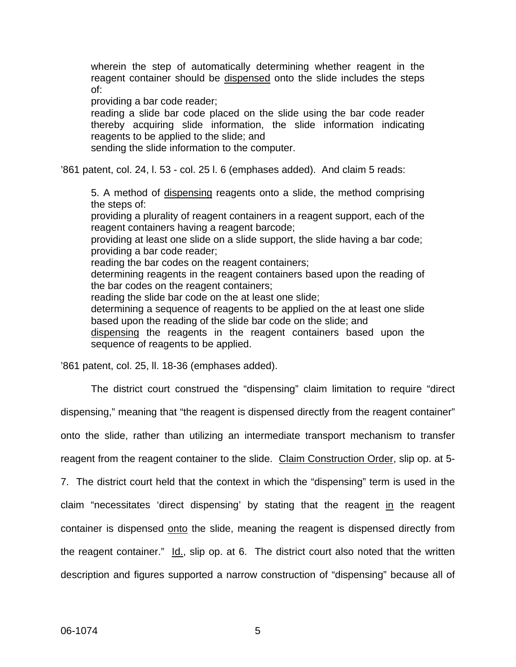wherein the step of automatically determining whether reagent in the reagent container should be dispensed onto the slide includes the steps of:

providing a bar code reader;

reading a slide bar code placed on the slide using the bar code reader thereby acquiring slide information, the slide information indicating reagents to be applied to the slide; and

sending the slide information to the computer.

'861 patent, col. 24, l. 53 - col. 25 l. 6 (emphases added). And claim 5 reads:

5. A method of dispensing reagents onto a slide, the method comprising the steps of:

providing a plurality of reagent containers in a reagent support, each of the reagent containers having a reagent barcode;

providing at least one slide on a slide support, the slide having a bar code; providing a bar code reader;

reading the bar codes on the reagent containers;

determining reagents in the reagent containers based upon the reading of the bar codes on the reagent containers;

reading the slide bar code on the at least one slide;

determining a sequence of reagents to be applied on the at least one slide based upon the reading of the slide bar code on the slide; and

dispensing the reagents in the reagent containers based upon the sequence of reagents to be applied.

'861 patent, col. 25, ll. 18-36 (emphases added).

The district court construed the "dispensing" claim limitation to require "direct dispensing," meaning that "the reagent is dispensed directly from the reagent container" onto the slide, rather than utilizing an intermediate transport mechanism to transfer reagent from the reagent container to the slide. Claim Construction Order, slip op. at 5- 7. The district court held that the context in which the "dispensing" term is used in the claim "necessitates 'direct dispensing' by stating that the reagent in the reagent container is dispensed onto the slide, meaning the reagent is dispensed directly from the reagent container."  $Id.$ , slip op. at 6. The district court also noted that the written description and figures supported a narrow construction of "dispensing" because all of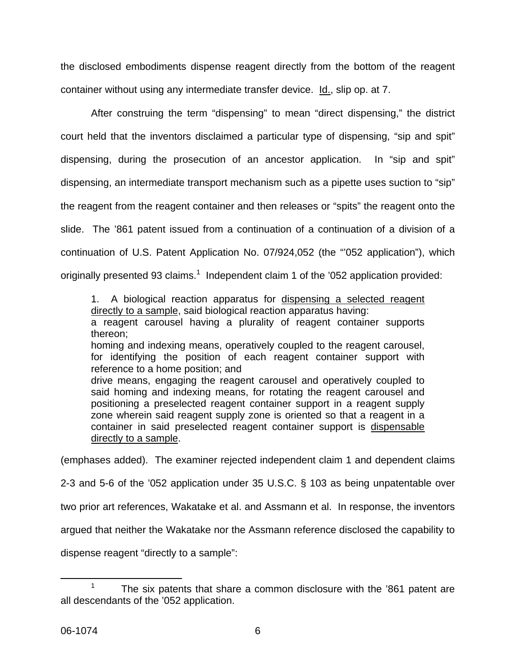the disclosed embodiments dispense reagent directly from the bottom of the reagent container without using any intermediate transfer device. Id., slip op. at 7.

After construing the term "dispensing" to mean "direct dispensing," the district court held that the inventors disclaimed a particular type of dispensing, "sip and spit" dispensing, during the prosecution of an ancestor application. In "sip and spit" dispensing, an intermediate transport mechanism such as a pipette uses suction to "sip" the reagent from the reagent container and then releases or "spits" the reagent onto the slide. The '861 patent issued from a continuation of a continuation of a division of a continuation of U.S. Patent Application No. 07/924,052 (the "'052 application"), which originally presented 93 claims.<sup>1</sup> Independent claim 1 of the '052 application provided:

1. A biological reaction apparatus for dispensing a selected reagent directly to a sample, said biological reaction apparatus having:

a reagent carousel having a plurality of reagent container supports thereon;

homing and indexing means, operatively coupled to the reagent carousel, for identifying the position of each reagent container support with reference to a home position; and

drive means, engaging the reagent carousel and operatively coupled to said homing and indexing means, for rotating the reagent carousel and positioning a preselected reagent container support in a reagent supply zone wherein said reagent supply zone is oriented so that a reagent in a container in said preselected reagent container support is dispensable directly to a sample.

(emphases added). The examiner rejected independent claim 1 and dependent claims

2-3 and 5-6 of the '052 application under 35 U.S.C. § 103 as being unpatentable over

two prior art references, Wakatake et al. and Assmann et al. In response, the inventors

argued that neither the Wakatake nor the Assmann reference disclosed the capability to

dispense reagent "directly to a sample":

The six patents that share a common disclosure with the '861 patent are all descendants of the '052 application.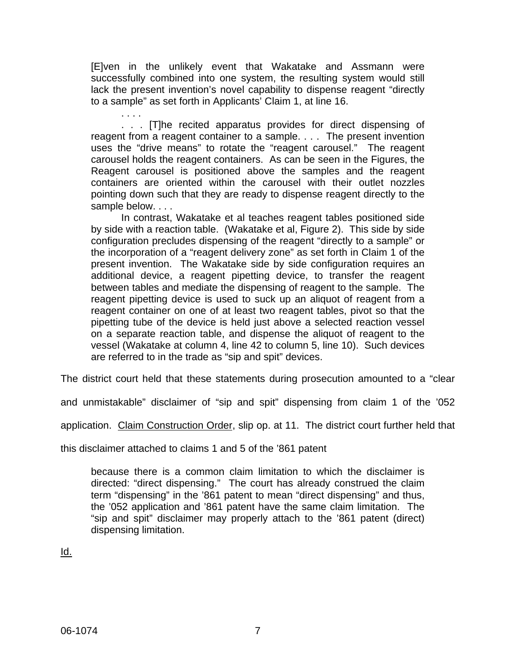[E]ven in the unlikely event that Wakatake and Assmann were successfully combined into one system, the resulting system would still lack the present invention's novel capability to dispense reagent "directly to a sample" as set forth in Applicants' Claim 1, at line 16.

. . . . . . . [T]he recited apparatus provides for direct dispensing of reagent from a reagent container to a sample. . . . The present invention uses the "drive means" to rotate the "reagent carousel." The reagent carousel holds the reagent containers. As can be seen in the Figures, the Reagent carousel is positioned above the samples and the reagent containers are oriented within the carousel with their outlet nozzles pointing down such that they are ready to dispense reagent directly to the sample below. . . .

In contrast, Wakatake et al teaches reagent tables positioned side by side with a reaction table. (Wakatake et al, Figure 2). This side by side configuration precludes dispensing of the reagent "directly to a sample" or the incorporation of a "reagent delivery zone" as set forth in Claim 1 of the present invention. The Wakatake side by side configuration requires an additional device, a reagent pipetting device, to transfer the reagent between tables and mediate the dispensing of reagent to the sample. The reagent pipetting device is used to suck up an aliquot of reagent from a reagent container on one of at least two reagent tables, pivot so that the pipetting tube of the device is held just above a selected reaction vessel on a separate reaction table, and dispense the aliquot of reagent to the vessel (Wakatake at column 4, line 42 to column 5, line 10). Such devices are referred to in the trade as "sip and spit" devices.

The district court held that these statements during prosecution amounted to a "clear

and unmistakable" disclaimer of "sip and spit" dispensing from claim 1 of the '052

application. Claim Construction Order, slip op. at 11. The district court further held that

this disclaimer attached to claims 1 and 5 of the '861 patent

because there is a common claim limitation to which the disclaimer is directed: "direct dispensing." The court has already construed the claim term "dispensing" in the '861 patent to mean "direct dispensing" and thus, the '052 application and '861 patent have the same claim limitation. The "sip and spit" disclaimer may properly attach to the '861 patent (direct) dispensing limitation.

Id.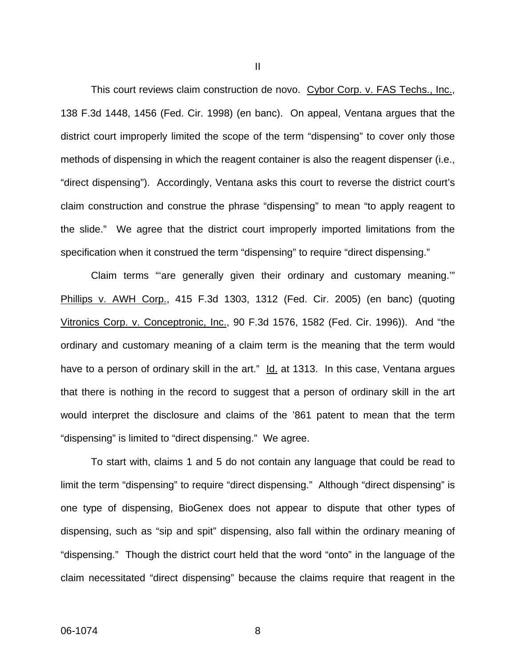This court reviews claim construction de novo. Cybor Corp. v. FAS Techs., Inc., 138 F.3d 1448, 1456 (Fed. Cir. 1998) (en banc). On appeal, Ventana argues that the district court improperly limited the scope of the term "dispensing" to cover only those methods of dispensing in which the reagent container is also the reagent dispenser (i.e., "direct dispensing"). Accordingly, Ventana asks this court to reverse the district court's claim construction and construe the phrase "dispensing" to mean "to apply reagent to the slide." We agree that the district court improperly imported limitations from the specification when it construed the term "dispensing" to require "direct dispensing."

Claim terms "'are generally given their ordinary and customary meaning.'" Phillips v. AWH Corp., 415 F.3d 1303, 1312 (Fed. Cir. 2005) (en banc) (quoting Vitronics Corp. v. Conceptronic, Inc., 90 F.3d 1576, 1582 (Fed. Cir. 1996)). And "the ordinary and customary meaning of a claim term is the meaning that the term would have to a person of ordinary skill in the art." Id. at 1313. In this case, Ventana argues that there is nothing in the record to suggest that a person of ordinary skill in the art would interpret the disclosure and claims of the '861 patent to mean that the term "dispensing" is limited to "direct dispensing." We agree.

To start with, claims 1 and 5 do not contain any language that could be read to limit the term "dispensing" to require "direct dispensing." Although "direct dispensing" is one type of dispensing, BioGenex does not appear to dispute that other types of dispensing, such as "sip and spit" dispensing, also fall within the ordinary meaning of "dispensing." Though the district court held that the word "onto" in the language of the claim necessitated "direct dispensing" because the claims require that reagent in the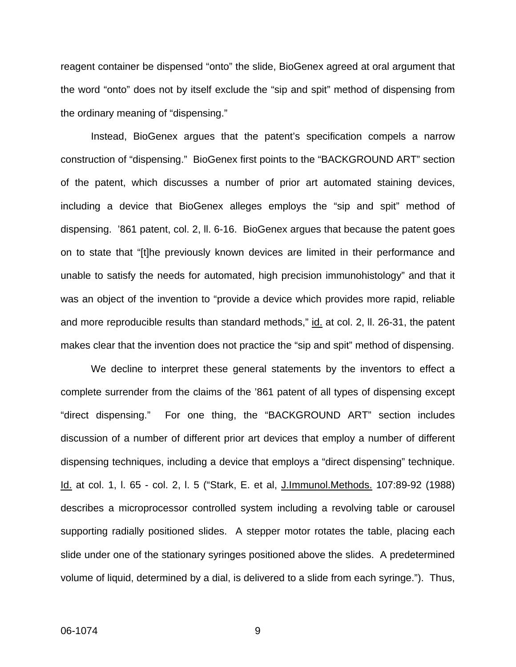reagent container be dispensed "onto" the slide, BioGenex agreed at oral argument that the word "onto" does not by itself exclude the "sip and spit" method of dispensing from the ordinary meaning of "dispensing."

Instead, BioGenex argues that the patent's specification compels a narrow construction of "dispensing." BioGenex first points to the "BACKGROUND ART" section of the patent, which discusses a number of prior art automated staining devices, including a device that BioGenex alleges employs the "sip and spit" method of dispensing. '861 patent, col. 2, ll. 6-16. BioGenex argues that because the patent goes on to state that "[t]he previously known devices are limited in their performance and unable to satisfy the needs for automated, high precision immunohistology" and that it was an object of the invention to "provide a device which provides more rapid, reliable and more reproducible results than standard methods," id. at col. 2, ll. 26-31, the patent makes clear that the invention does not practice the "sip and spit" method of dispensing.

We decline to interpret these general statements by the inventors to effect a complete surrender from the claims of the '861 patent of all types of dispensing except "direct dispensing." For one thing, the "BACKGROUND ART" section includes discussion of a number of different prior art devices that employ a number of different dispensing techniques, including a device that employs a "direct dispensing" technique. Id. at col. 1, l. 65 - col. 2, l. 5 ("Stark, E. et al, J.Immunol.Methods. 107:89-92 (1988) describes a microprocessor controlled system including a revolving table or carousel supporting radially positioned slides. A stepper motor rotates the table, placing each slide under one of the stationary syringes positioned above the slides. A predetermined volume of liquid, determined by a dial, is delivered to a slide from each syringe."). Thus,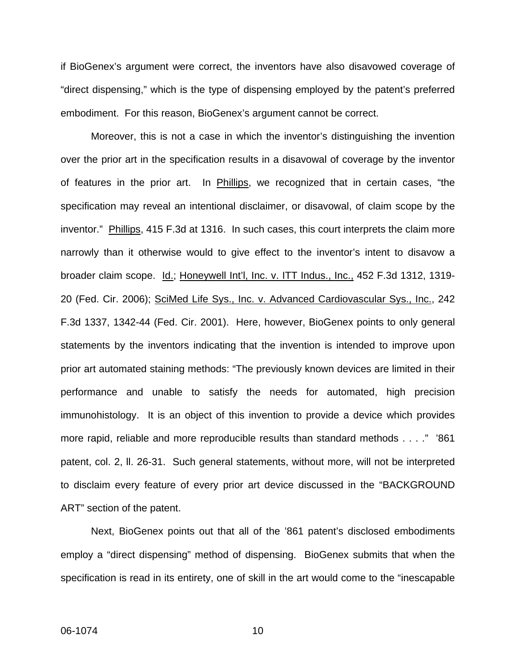if BioGenex's argument were correct, the inventors have also disavowed coverage of "direct dispensing," which is the type of dispensing employed by the patent's preferred embodiment. For this reason, BioGenex's argument cannot be correct.

Moreover, this is not a case in which the inventor's distinguishing the invention over the prior art in the specification results in a disavowal of coverage by the inventor of features in the prior art. In Phillips, we recognized that in certain cases, "the specification may reveal an intentional disclaimer, or disavowal, of claim scope by the inventor." Phillips, 415 F.3d at 1316. In such cases, this court interprets the claim more narrowly than it otherwise would to give effect to the inventor's intent to disavow a broader claim scope. Id.; Honeywell Int'l, Inc. v. ITT Indus., Inc., 452 F.3d 1312, 1319-20 (Fed. Cir. 2006); SciMed Life Sys., Inc. v. Advanced Cardiovascular Sys., Inc., 242 F.3d 1337, 1342-44 (Fed. Cir. 2001). Here, however, BioGenex points to only general statements by the inventors indicating that the invention is intended to improve upon prior art automated staining methods: "The previously known devices are limited in their performance and unable to satisfy the needs for automated, high precision immunohistology. It is an object of this invention to provide a device which provides more rapid, reliable and more reproducible results than standard methods . . . ." '861 patent, col. 2, ll. 26-31. Such general statements, without more, will not be interpreted to disclaim every feature of every prior art device discussed in the "BACKGROUND ART" section of the patent.

Next, BioGenex points out that all of the '861 patent's disclosed embodiments employ a "direct dispensing" method of dispensing. BioGenex submits that when the specification is read in its entirety, one of skill in the art would come to the "inescapable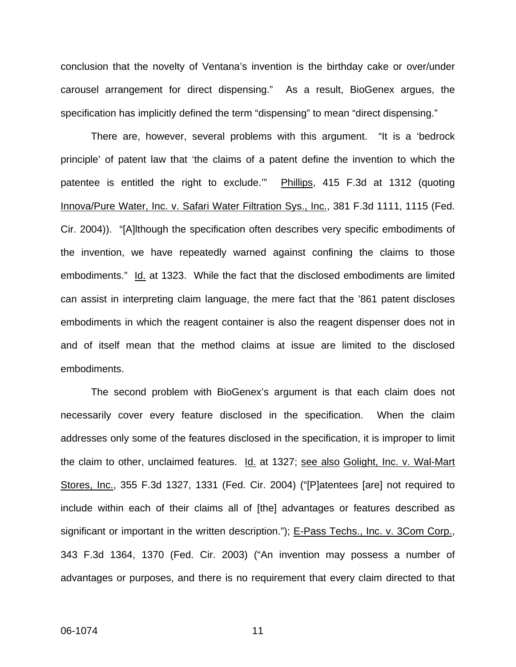conclusion that the novelty of Ventana's invention is the birthday cake or over/under carousel arrangement for direct dispensing." As a result, BioGenex argues, the specification has implicitly defined the term "dispensing" to mean "direct dispensing."

There are, however, several problems with this argument. "It is a 'bedrock principle' of patent law that 'the claims of a patent define the invention to which the patentee is entitled the right to exclude.'" Phillips, 415 F.3d at 1312 (quoting Innova/Pure Water, Inc. v. Safari Water Filtration Sys., Inc., 381 F.3d 1111, 1115 (Fed. Cir. 2004)). "[A]lthough the specification often describes very specific embodiments of the invention, we have repeatedly warned against confining the claims to those embodiments." Id. at 1323. While the fact that the disclosed embodiments are limited can assist in interpreting claim language, the mere fact that the '861 patent discloses embodiments in which the reagent container is also the reagent dispenser does not in and of itself mean that the method claims at issue are limited to the disclosed embodiments.

The second problem with BioGenex's argument is that each claim does not necessarily cover every feature disclosed in the specification. When the claim addresses only some of the features disclosed in the specification, it is improper to limit the claim to other, unclaimed features. Id. at 1327; see also Golight, Inc. v. Wal-Mart Stores, Inc., 355 F.3d 1327, 1331 (Fed. Cir. 2004) ("[P]atentees [are] not required to include within each of their claims all of [the] advantages or features described as significant or important in the written description."); E-Pass Techs., Inc. v. 3Com Corp., 343 F.3d 1364, 1370 (Fed. Cir. 2003) ("An invention may possess a number of advantages or purposes, and there is no requirement that every claim directed to that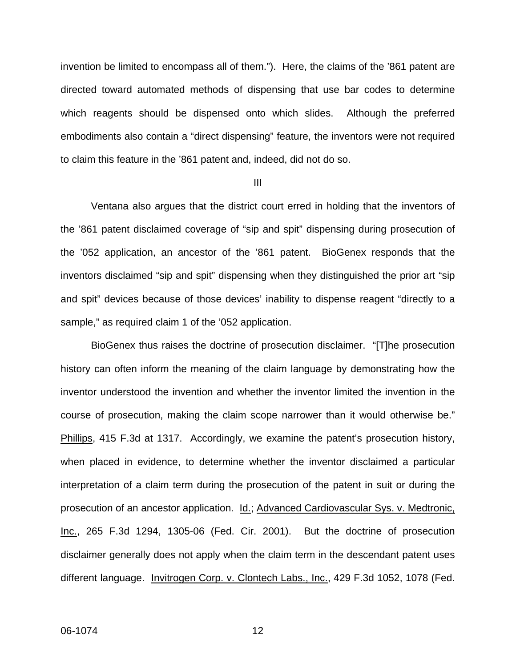invention be limited to encompass all of them."). Here, the claims of the '861 patent are directed toward automated methods of dispensing that use bar codes to determine which reagents should be dispensed onto which slides. Although the preferred embodiments also contain a "direct dispensing" feature, the inventors were not required to claim this feature in the '861 patent and, indeed, did not do so.

III

Ventana also argues that the district court erred in holding that the inventors of the '861 patent disclaimed coverage of "sip and spit" dispensing during prosecution of the '052 application, an ancestor of the '861 patent. BioGenex responds that the inventors disclaimed "sip and spit" dispensing when they distinguished the prior art "sip and spit" devices because of those devices' inability to dispense reagent "directly to a sample," as required claim 1 of the '052 application.

BioGenex thus raises the doctrine of prosecution disclaimer. "[T]he prosecution history can often inform the meaning of the claim language by demonstrating how the inventor understood the invention and whether the inventor limited the invention in the course of prosecution, making the claim scope narrower than it would otherwise be." Phillips, 415 F.3d at 1317. Accordingly, we examine the patent's prosecution history, when placed in evidence, to determine whether the inventor disclaimed a particular interpretation of a claim term during the prosecution of the patent in suit or during the prosecution of an ancestor application. Id.; Advanced Cardiovascular Sys. v. Medtronic, Inc., 265 F.3d 1294, 1305-06 (Fed. Cir. 2001). But the doctrine of prosecution disclaimer generally does not apply when the claim term in the descendant patent uses different language. Invitrogen Corp. v. Clontech Labs., Inc., 429 F.3d 1052, 1078 (Fed.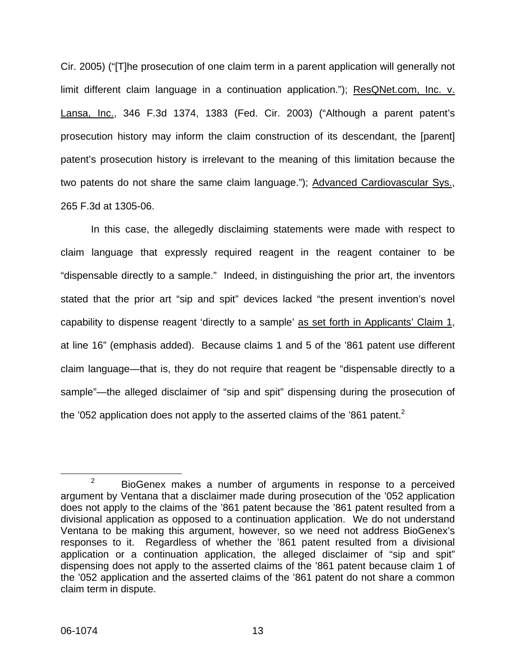Cir. 2005) ("[T]he prosecution of one claim term in a parent application will generally not limit different claim language in a continuation application."); ResQNet.com, Inc. v. Lansa, Inc., 346 F.3d 1374, 1383 (Fed. Cir. 2003) ("Although a parent patent's prosecution history may inform the claim construction of its descendant, the [parent] patent's prosecution history is irrelevant to the meaning of this limitation because the two patents do not share the same claim language."); Advanced Cardiovascular Sys., 265 F.3d at 1305-06.

In this case, the allegedly disclaiming statements were made with respect to claim language that expressly required reagent in the reagent container to be "dispensable directly to a sample." Indeed, in distinguishing the prior art, the inventors stated that the prior art "sip and spit" devices lacked "the present invention's novel capability to dispense reagent 'directly to a sample' as set forth in Applicants' Claim 1, at line 16" (emphasis added). Because claims 1 and 5 of the '861 patent use different claim language—that is, they do not require that reagent be "dispensable directly to a sample"—the alleged disclaimer of "sip and spit" dispensing during the prosecution of the '052 application does not apply to the asserted claims of the '861 patent.<sup>2</sup>

 $2^2$  BioGenex makes a number of arguments in response to a perceived argument by Ventana that a disclaimer made during prosecution of the '052 application does not apply to the claims of the '861 patent because the '861 patent resulted from a divisional application as opposed to a continuation application. We do not understand Ventana to be making this argument, however, so we need not address BioGenex's responses to it. Regardless of whether the '861 patent resulted from a divisional application or a continuation application, the alleged disclaimer of "sip and spit" dispensing does not apply to the asserted claims of the '861 patent because claim 1 of the '052 application and the asserted claims of the '861 patent do not share a common claim term in dispute.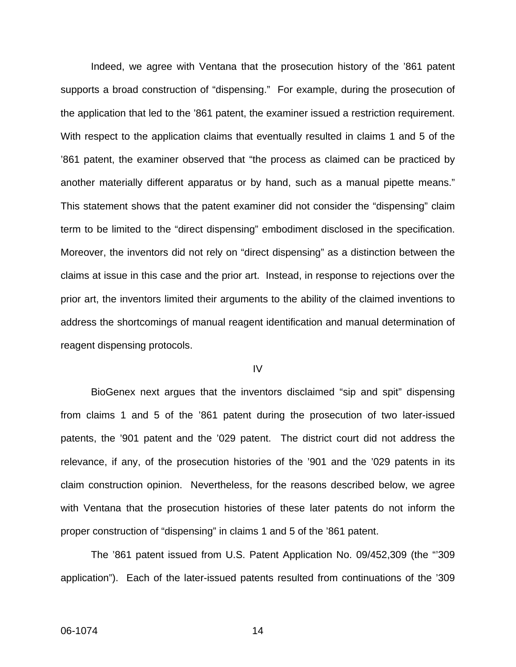Indeed, we agree with Ventana that the prosecution history of the '861 patent supports a broad construction of "dispensing." For example, during the prosecution of the application that led to the '861 patent, the examiner issued a restriction requirement. With respect to the application claims that eventually resulted in claims 1 and 5 of the '861 patent, the examiner observed that "the process as claimed can be practiced by another materially different apparatus or by hand, such as a manual pipette means." This statement shows that the patent examiner did not consider the "dispensing" claim term to be limited to the "direct dispensing" embodiment disclosed in the specification. Moreover, the inventors did not rely on "direct dispensing" as a distinction between the claims at issue in this case and the prior art. Instead, in response to rejections over the prior art, the inventors limited their arguments to the ability of the claimed inventions to address the shortcomings of manual reagent identification and manual determination of reagent dispensing protocols.

#### IV

BioGenex next argues that the inventors disclaimed "sip and spit" dispensing from claims 1 and 5 of the '861 patent during the prosecution of two later-issued patents, the '901 patent and the '029 patent. The district court did not address the relevance, if any, of the prosecution histories of the '901 and the '029 patents in its claim construction opinion. Nevertheless, for the reasons described below, we agree with Ventana that the prosecution histories of these later patents do not inform the proper construction of "dispensing" in claims 1 and 5 of the '861 patent.

The '861 patent issued from U.S. Patent Application No. 09/452,309 (the "'309 application"). Each of the later-issued patents resulted from continuations of the '309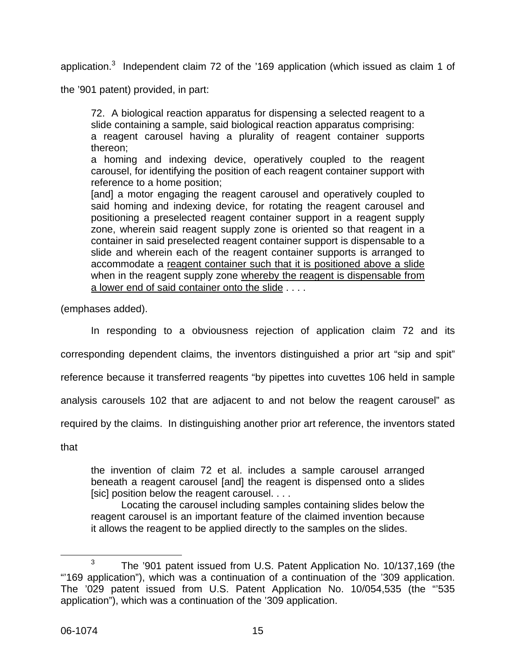application.<sup>3</sup> Independent claim 72 of the '169 application (which issued as claim 1 of

the '901 patent) provided, in part:

72. A biological reaction apparatus for dispensing a selected reagent to a slide containing a sample, said biological reaction apparatus comprising: a reagent carousel having a plurality of reagent container supports thereon;

a homing and indexing device, operatively coupled to the reagent carousel, for identifying the position of each reagent container support with reference to a home position;

[and] a motor engaging the reagent carousel and operatively coupled to said homing and indexing device, for rotating the reagent carousel and positioning a preselected reagent container support in a reagent supply zone, wherein said reagent supply zone is oriented so that reagent in a container in said preselected reagent container support is dispensable to a slide and wherein each of the reagent container supports is arranged to accommodate a reagent container such that it is positioned above a slide when in the reagent supply zone whereby the reagent is dispensable from a lower end of said container onto the slide . . . .

(emphases added).

In responding to a obviousness rejection of application claim 72 and its

corresponding dependent claims, the inventors distinguished a prior art "sip and spit"

reference because it transferred reagents "by pipettes into cuvettes 106 held in sample

analysis carousels 102 that are adjacent to and not below the reagent carousel" as

required by the claims. In distinguishing another prior art reference, the inventors stated

that

the invention of claim 72 et al. includes a sample carousel arranged beneath a reagent carousel [and] the reagent is dispensed onto a slides [sic] position below the reagent carousel. . . .

Locating the carousel including samples containing slides below the reagent carousel is an important feature of the claimed invention because it allows the reagent to be applied directly to the samples on the slides.

<sup>&</sup>lt;sup>3</sup> The '901 patent issued from U.S. Patent Application No. 10/137,169 (the "'169 application"), which was a continuation of a continuation of the '309 application. The '029 patent issued from U.S. Patent Application No. 10/054,535 (the "'535 application"), which was a continuation of the '309 application.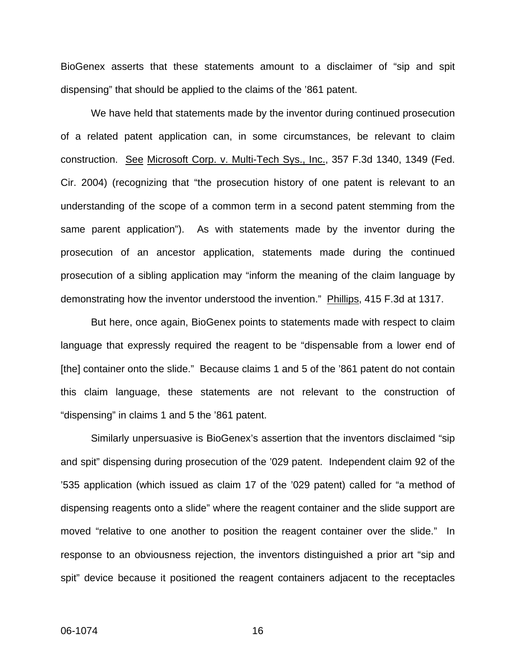BioGenex asserts that these statements amount to a disclaimer of "sip and spit dispensing" that should be applied to the claims of the '861 patent.

We have held that statements made by the inventor during continued prosecution of a related patent application can, in some circumstances, be relevant to claim construction. See Microsoft Corp. v. Multi-Tech Sys., Inc., 357 F.3d 1340, 1349 (Fed. Cir. 2004) (recognizing that "the prosecution history of one patent is relevant to an understanding of the scope of a common term in a second patent stemming from the same parent application"). As with statements made by the inventor during the prosecution of an ancestor application, statements made during the continued prosecution of a sibling application may "inform the meaning of the claim language by demonstrating how the inventor understood the invention." Phillips, 415 F.3d at 1317.

But here, once again, BioGenex points to statements made with respect to claim language that expressly required the reagent to be "dispensable from a lower end of [the] container onto the slide." Because claims 1 and 5 of the '861 patent do not contain this claim language, these statements are not relevant to the construction of "dispensing" in claims 1 and 5 the '861 patent.

Similarly unpersuasive is BioGenex's assertion that the inventors disclaimed "sip and spit" dispensing during prosecution of the '029 patent. Independent claim 92 of the '535 application (which issued as claim 17 of the '029 patent) called for "a method of dispensing reagents onto a slide" where the reagent container and the slide support are moved "relative to one another to position the reagent container over the slide." In response to an obviousness rejection, the inventors distinguished a prior art "sip and spit" device because it positioned the reagent containers adjacent to the receptacles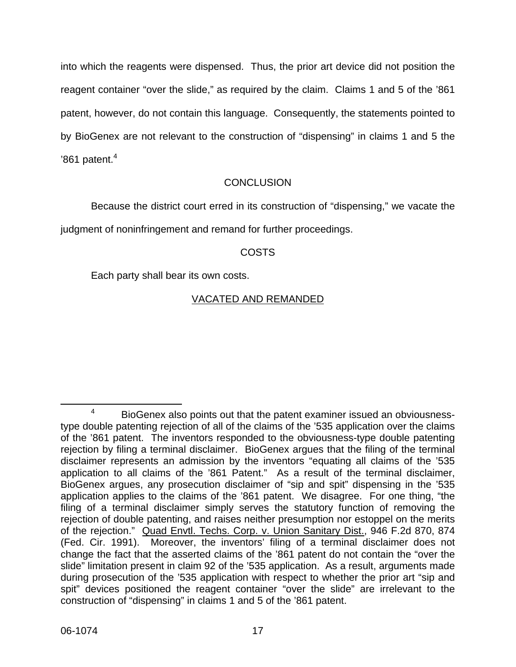into which the reagents were dispensed. Thus, the prior art device did not position the reagent container "over the slide," as required by the claim. Claims 1 and 5 of the '861 patent, however, do not contain this language. Consequently, the statements pointed to by BioGenex are not relevant to the construction of "dispensing" in claims 1 and 5 the  $'861$  patent. $^4$ 

## **CONCLUSION**

Because the district court erred in its construction of "dispensing," we vacate the judgment of noninfringement and remand for further proceedings.

## COSTS

Each party shall bear its own costs.

## VACATED AND REMANDED

<sup>4</sup> BioGenex also points out that the patent examiner issued an obviousnesstype double patenting rejection of all of the claims of the '535 application over the claims of the '861 patent. The inventors responded to the obviousness-type double patenting rejection by filing a terminal disclaimer. BioGenex argues that the filing of the terminal disclaimer represents an admission by the inventors "equating all claims of the '535 application to all claims of the '861 Patent." As a result of the terminal disclaimer, BioGenex argues, any prosecution disclaimer of "sip and spit" dispensing in the '535 application applies to the claims of the '861 patent. We disagree. For one thing, "the filing of a terminal disclaimer simply serves the statutory function of removing the rejection of double patenting, and raises neither presumption nor estoppel on the merits of the rejection." Quad Envtl. Techs. Corp. v. Union Sanitary Dist., 946 F.2d 870, 874 (Fed. Cir. 1991). Moreover, the inventors' filing of a terminal disclaimer does not change the fact that the asserted claims of the '861 patent do not contain the "over the slide" limitation present in claim 92 of the '535 application. As a result, arguments made during prosecution of the '535 application with respect to whether the prior art "sip and spit" devices positioned the reagent container "over the slide" are irrelevant to the construction of "dispensing" in claims 1 and 5 of the '861 patent.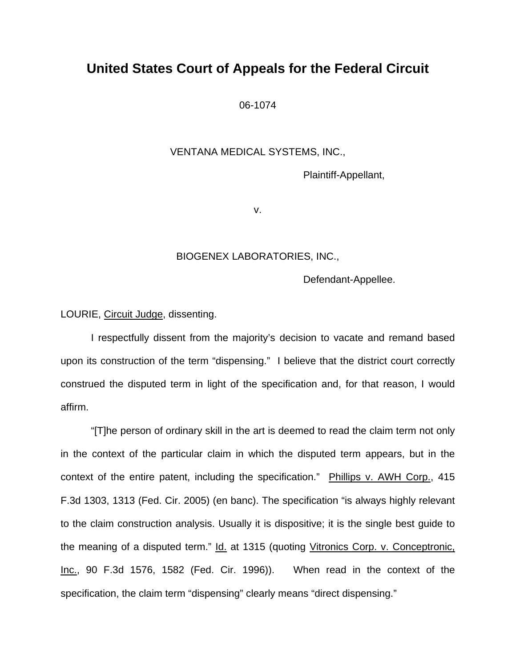## **United States Court of Appeals for the Federal Circuit**

06-1074

#### VENTANA MEDICAL SYSTEMS, INC.,

Plaintiff-Appellant,

v.

#### BIOGENEX LABORATORIES, INC.,

Defendant-Appellee.

LOURIE, Circuit Judge, dissenting.

 I respectfully dissent from the majority's decision to vacate and remand based upon its construction of the term "dispensing." I believe that the district court correctly construed the disputed term in light of the specification and, for that reason, I would affirm.

 "[T]he person of ordinary skill in the art is deemed to read the claim term not only in the context of the particular claim in which the disputed term appears, but in the context of the entire patent, including the specification." Phillips v. AWH Corp., 415 F.3d 1303, 1313 (Fed. Cir. 2005) (en banc). The specification "is always highly relevant to the claim construction analysis. Usually it is dispositive; it is the single best guide to the meaning of a disputed term." Id. at 1315 (quoting Vitronics Corp. v. Conceptronic, Inc., 90 F.3d 1576, 1582 (Fed. Cir. 1996)). When read in the context of the specification, the claim term "dispensing" clearly means "direct dispensing."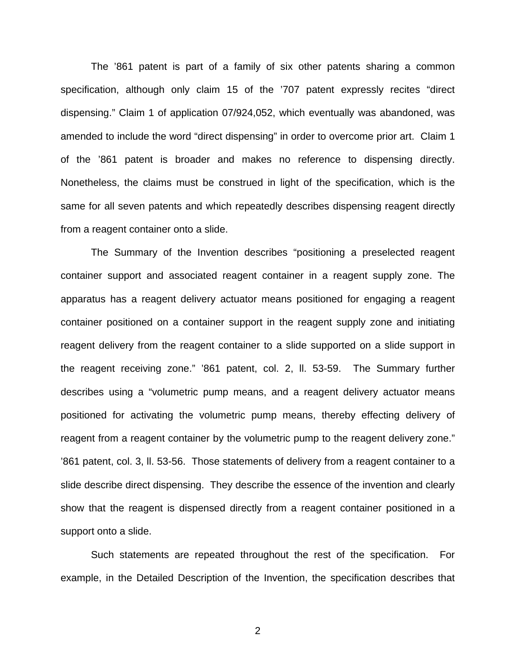The '861 patent is part of a family of six other patents sharing a common specification, although only claim 15 of the '707 patent expressly recites "direct dispensing." Claim 1 of application 07/924,052, which eventually was abandoned, was amended to include the word "direct dispensing" in order to overcome prior art. Claim 1 of the '861 patent is broader and makes no reference to dispensing directly. Nonetheless, the claims must be construed in light of the specification, which is the same for all seven patents and which repeatedly describes dispensing reagent directly from a reagent container onto a slide.

The Summary of the Invention describes "positioning a preselected reagent container support and associated reagent container in a reagent supply zone. The apparatus has a reagent delivery actuator means positioned for engaging a reagent container positioned on a container support in the reagent supply zone and initiating reagent delivery from the reagent container to a slide supported on a slide support in the reagent receiving zone." '861 patent, col. 2, ll. 53-59. The Summary further describes using a "volumetric pump means, and a reagent delivery actuator means positioned for activating the volumetric pump means, thereby effecting delivery of reagent from a reagent container by the volumetric pump to the reagent delivery zone." '861 patent, col. 3, ll. 53-56. Those statements of delivery from a reagent container to a slide describe direct dispensing. They describe the essence of the invention and clearly show that the reagent is dispensed directly from a reagent container positioned in a support onto a slide.

Such statements are repeated throughout the rest of the specification. For example, in the Detailed Description of the Invention, the specification describes that

2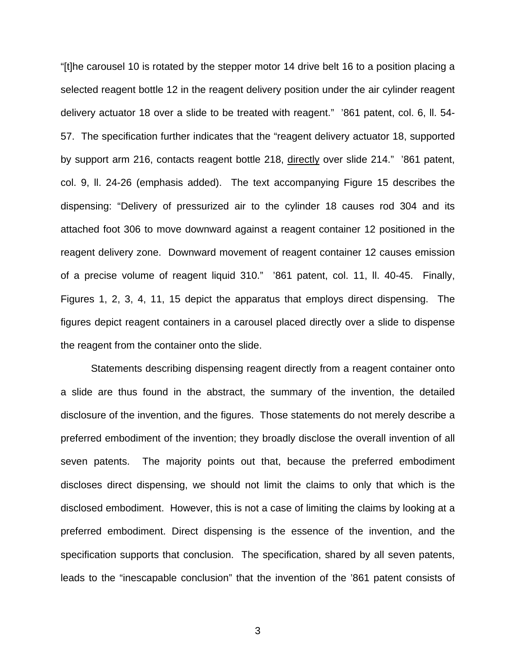"[t]he carousel 10 is rotated by the stepper motor 14 drive belt 16 to a position placing a selected reagent bottle 12 in the reagent delivery position under the air cylinder reagent delivery actuator 18 over a slide to be treated with reagent." '861 patent, col. 6, ll. 54- 57. The specification further indicates that the "reagent delivery actuator 18, supported by support arm 216, contacts reagent bottle 218, directly over slide 214." '861 patent, col. 9, ll. 24-26 (emphasis added). The text accompanying Figure 15 describes the dispensing: "Delivery of pressurized air to the cylinder 18 causes rod 304 and its attached foot 306 to move downward against a reagent container 12 positioned in the reagent delivery zone. Downward movement of reagent container 12 causes emission of a precise volume of reagent liquid 310." '861 patent, col. 11, ll. 40-45. Finally, Figures 1, 2, 3, 4, 11, 15 depict the apparatus that employs direct dispensing. The figures depict reagent containers in a carousel placed directly over a slide to dispense the reagent from the container onto the slide.

Statements describing dispensing reagent directly from a reagent container onto a slide are thus found in the abstract, the summary of the invention, the detailed disclosure of the invention, and the figures. Those statements do not merely describe a preferred embodiment of the invention; they broadly disclose the overall invention of all seven patents. The majority points out that, because the preferred embodiment discloses direct dispensing, we should not limit the claims to only that which is the disclosed embodiment. However, this is not a case of limiting the claims by looking at a preferred embodiment. Direct dispensing is the essence of the invention, and the specification supports that conclusion. The specification, shared by all seven patents, leads to the "inescapable conclusion" that the invention of the '861 patent consists of

3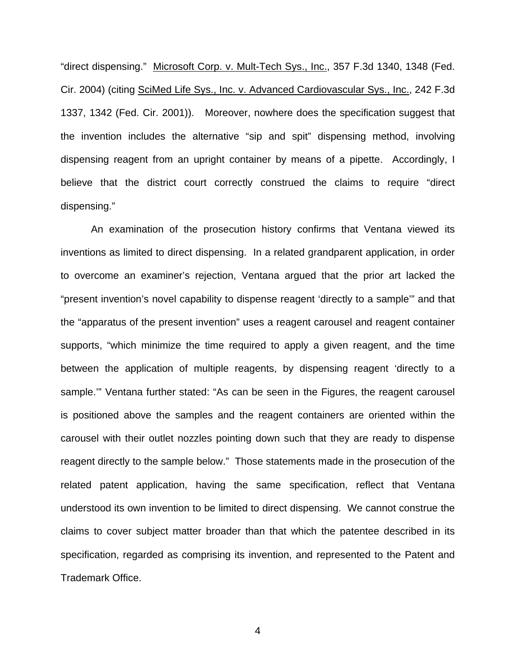"direct dispensing." Microsoft Corp. v. Mult-Tech Sys., Inc., 357 F.3d 1340, 1348 (Fed. Cir. 2004) (citing SciMed Life Sys., Inc. v. Advanced Cardiovascular Sys., Inc., 242 F.3d 1337, 1342 (Fed. Cir. 2001)). Moreover, nowhere does the specification suggest that the invention includes the alternative "sip and spit" dispensing method, involving dispensing reagent from an upright container by means of a pipette. Accordingly, I believe that the district court correctly construed the claims to require "direct dispensing."

An examination of the prosecution history confirms that Ventana viewed its inventions as limited to direct dispensing. In a related grandparent application, in order to overcome an examiner's rejection, Ventana argued that the prior art lacked the "present invention's novel capability to dispense reagent 'directly to a sample'" and that the "apparatus of the present invention" uses a reagent carousel and reagent container supports, "which minimize the time required to apply a given reagent, and the time between the application of multiple reagents, by dispensing reagent 'directly to a sample.'" Ventana further stated: "As can be seen in the Figures, the reagent carousel is positioned above the samples and the reagent containers are oriented within the carousel with their outlet nozzles pointing down such that they are ready to dispense reagent directly to the sample below." Those statements made in the prosecution of the related patent application, having the same specification, reflect that Ventana understood its own invention to be limited to direct dispensing. We cannot construe the claims to cover subject matter broader than that which the patentee described in its specification, regarded as comprising its invention, and represented to the Patent and Trademark Office.

4